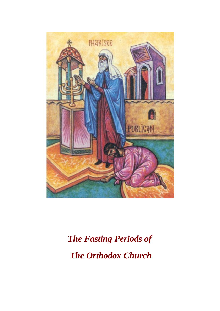

# *The Fasting Periods of The Orthodox Church*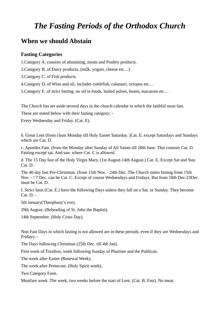## *The Fasting Periods of the Orthodox Church*

#### **When we should Abstain**

#### **Fasting Categories**

1.Category A. consists of abstaining, meats and Poultry products.

2.Category B. of Dairy products, (milk, yogurt, cheese etc…)

3.Category C. of Fish products.

4.Category D. of Wine and oil, includes cuttlefish, calamari, octopus etc…

5.Category E. of strict fasting, no oil in foods, boiled pulses, beans, macaroni etc…

The Church has set aside several days in the church calendar in which the faithful must fast.

These are stated below with their fasting category: -

Every Wednesday and Friday. (Cat. E).

b. Great Lent (from clean Monday till Holy Easter Saturday. )Cat. E. except Saturdays and Sundays which are Cat. D.

c. Apostles Fast. (from the Monday after Sunday of All Saints till 28th June. This consists Cat. D. Fasting except sat. And sun. where Cat. C is allowed.

d. The 15 Day fast of the Holy Virgin Mary. (1st August-14th August.) Cat. E. Except Sat and Sun. Cat. D.

The 40 day fast Pre-Christmas. (from 15th Nov. - 24th Dec. The Church states fasting from 15th Nov. - ! 7 Dec. can be Cat. C. Except of course Wednesdays and Fridays. But from 18th Dec-23Dec must be Cat. D.

f. Strict fasts (Cat. E.) have the following Days unless they fall on a Sat. or Sunday. They become Cat. D: -

5th January(Theophany's eve).

29th August. (Beheading of St. John the Baptist).

14th September. (Holy Cross Day).

Non Fast Days in which fasting is not allowed are in these periods, even if they are Wednesdays and Fridays: -

The Days following Christmas (25th Dec. till 4th Jan).

First week of Triodion, week following Sunday of Pharisee and the Publican.

The week after Easter (Renewal Week).

The week after Pentecost. (Holy Spirit week).

Two Category Fasts.

Meatfare week. The week, two weeks before the start of Lent. (Cat. B. Fast). No meat.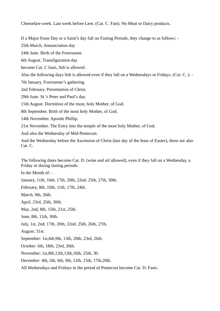Cheesefare week. Last week before Lent. (Cat. C. Fast). No Meat or Dairy products.

If a Major Feast Day or a Saint's day fall on Fasting Periods, they change to as follows: -

25th March, Annunciation day

24th June. Birth of the Forerunner.

6th August. Transfiguration day

become Cat. C fasts, fish is allowed.

Also the following days fish is allowed even if they fall on a Wednesdays or Fridays. (Cat. C. ): -

7th January. Forerunner's gathering.

2nd February. Presentation of Christ.

29th June. St.'s Peter and Paul's day.

15th August. Dormition of the most, holy Mother, of God.

8th September. Birth of the most holy Mother, of God.

14th November. Apostle Phillip.

21st November. The Entry into the temple of the most holy Mother, of God.

And also the Wednesday of Mid-Pentecost.

And the Wednesday before the Ascension of Christ (last day of the feast of Easter), these are also Cat. C.

The following dates become Cat. D. (wine and oil allowed), even if they fall on a Wednesday, a Friday or during fasting periods.

In the Month of: -

January, 11th, 16th, 17th, 20th, 22nd, 25th, 27th, 30th.

February, 8th, 10th, 11th, 17th, 24th.

March, 9th, 26th.

April, 23rd, 25th, 30th.

May, 2nd, 8th, 15th, 21st, 25th.

June, 8th, 11th, 30th.

July, 1st, 2nd, 17th, 20th, 22nd, 25th, 26th, 27th,

August: 31st.

September: 1st,6th,9th, 13th, 20th, 23rd, 26th.

October: 6th, 18th, 23rd, 26th.

November: 1st,8th,12th,13th,16th, 25th, 30.

December: 4th, 5th, 6th, 9th, 12th, 15th, 17th,20th.

All Wednesdays and Fridays in the period of Pentecost become Cat. D. Fasts.